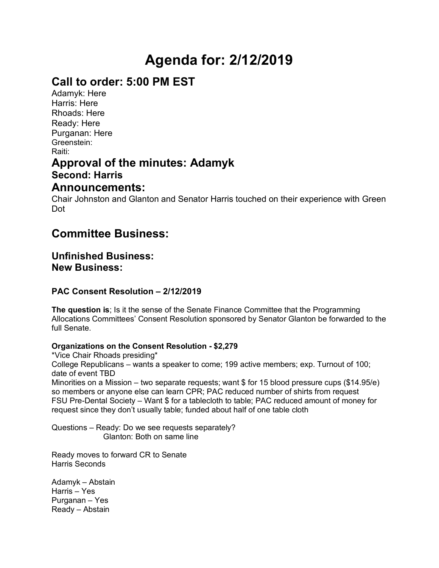# **Agenda for: 2/12/2019**

# **Call to order: 5:00 PM EST**

Adamyk: Here Harris: Here Rhoads: Here Ready: Here Purganan: Here Greenstein: Raiti:

## **Approval of the minutes: Adamyk Second: Harris**

### **Announcements:**

Chair Johnston and Glanton and Senator Harris touched on their experience with Green Dot

# **Committee Business:**

### **Unfinished Business: New Business:**

#### **PAC Consent Resolution – 2/12/2019**

**The question is**; Is it the sense of the Senate Finance Committee that the Programming Allocations Committees' Consent Resolution sponsored by Senator Glanton be forwarded to the full Senate.

#### **Organizations on the Consent Resolution - \$2,279**

\*Vice Chair Rhoads presiding\* College Republicans – wants a speaker to come; 199 active members; exp. Turnout of 100; date of event TBD Minorities on a Mission – two separate requests; want \$ for 15 blood pressure cups (\$14.95/e) so members or anyone else can learn CPR; PAC reduced number of shirts from request FSU Pre-Dental Society – Want \$ for a tablecloth to table; PAC reduced amount of money for request since they don't usually table; funded about half of one table cloth

Questions – Ready: Do we see requests separately? Glanton: Both on same line

Ready moves to forward CR to Senate Harris Seconds

Adamyk – Abstain Harris – Yes Purganan – Yes Ready – Abstain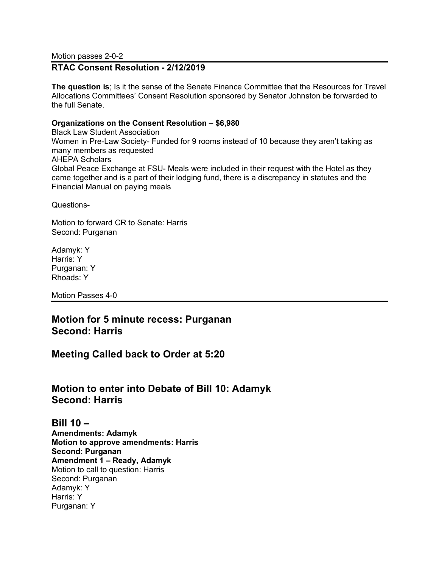Motion passes 2-0-2

#### **RTAC Consent Resolution - 2/12/2019**

**The question is**; Is it the sense of the Senate Finance Committee that the Resources for Travel Allocations Committees' Consent Resolution sponsored by Senator Johnston be forwarded to the full Senate.

#### **Organizations on the Consent Resolution – \$6,980**

Black Law Student Association Women in Pre-Law Society- Funded for 9 rooms instead of 10 because they aren't taking as many members as requested AHEPA Scholars Global Peace Exchange at FSU- Meals were included in their request with the Hotel as they came together and is a part of their lodging fund, there is a discrepancy in statutes and the Financial Manual on paying meals

Questions-

Motion to forward CR to Senate: Harris Second: Purganan

Adamyk: Y Harris: Y Purganan: Y Rhoads: Y

Motion Passes 4-0

#### **Motion for 5 minute recess: Purganan Second: Harris**

**Meeting Called back to Order at 5:20**

#### **Motion to enter into Debate of Bill 10: Adamyk Second: Harris**

**Bill 10 – Amendments: Adamyk Motion to approve amendments: Harris Second: Purganan Amendment 1 – Ready, Adamyk** Motion to call to question: Harris Second: Purganan Adamyk: Y Harris: Y Purganan: Y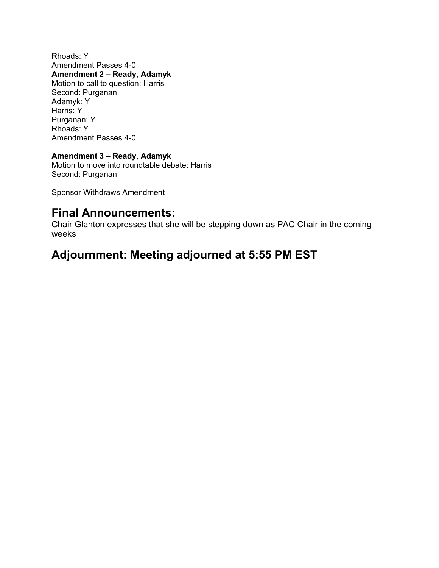Rhoads: Y Amendment Passes 4-0 **Amendment 2 – Ready, Adamyk** Motion to call to question: Harris Second: Purganan Adamyk: Y Harris: Y Purganan: Y Rhoads: Y Amendment Passes 4-0

#### **Amendment 3 – Ready, Adamyk**

Motion to move into roundtable debate: Harris Second: Purganan

Sponsor Withdraws Amendment

### **Final Announcements:**

Chair Glanton expresses that she will be stepping down as PAC Chair in the coming weeks

# **Adjournment: Meeting adjourned at 5:55 PM EST**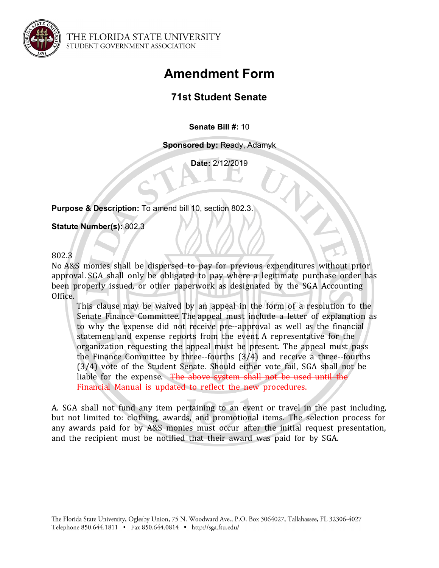

THE FLORIDA STATE UNIVERSITY STUDENT GOVERNMENT ASSOCIATION

# **Amendment Form**

## **71st Student Senate**

**Senate Bill #:** 10

**Sponsored by:** Ready, Adamyk

**Date:** 2/12/2019

**Purpose & Description:** To amend bill 10, section 802.3.

**Statute Number(s):** 802.3

802.3 

No A&S monies shall be dispersed to pay for previous expenditures without prior approval. SGA shall only be obligated to pay where a legitimate purchase order has been properly issued, or other paperwork as designated by the SGA Accounting Office. 

This clause may be waived by an appeal in the form of a resolution to the Senate Finance Committee. The appeal must include a letter of explanation as to why the expense did not receive pre--approval as well as the financial statement and expense reports from the event. A representative for the organization requesting the appeal must be present. The appeal must pass the Finance Committee by three--fourths  $(3/4)$  and receive a three--fourths (3/4) vote of the Student Senate. Should either vote fail, SGA shall not be liable for the expense. The above system shall not be used until the Financial Manual is updated to reflect the new procedures.

A. SGA shall not fund any item pertaining to an event or travel in the past including, but not limited to: clothing, awards, and promotional items. The selection process for any awards paid for by A&S monies must occur after the initial request presentation, and the recipient must be notified that their award was paid for by SGA.